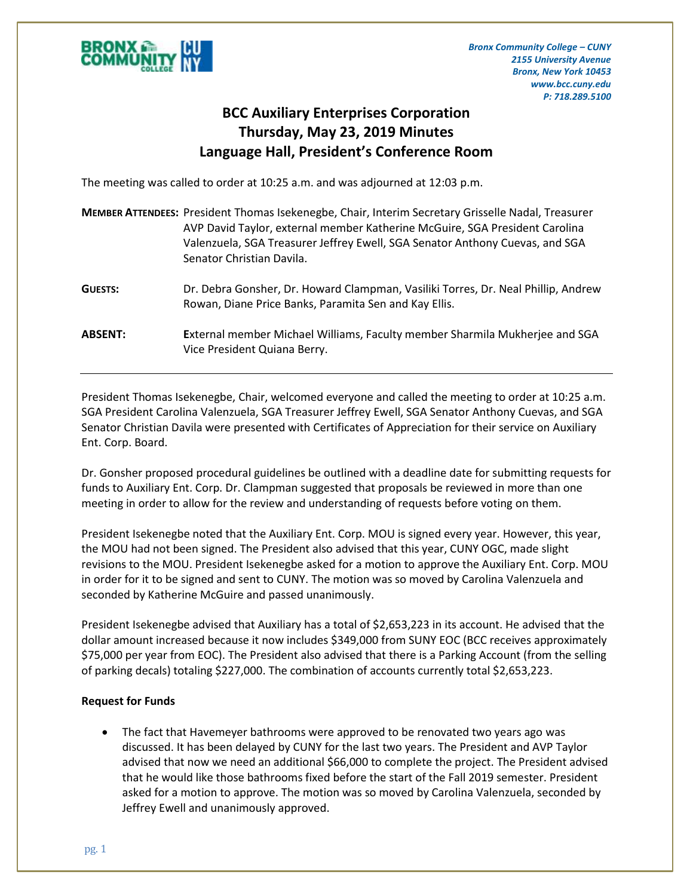

*Bronx Community College – CUNY 2155 University Avenue Bronx, New York 10453 www.bcc.cuny.edu P: 718.289.5100*

## **BCC Auxiliary Enterprises Corporation Thursday, May 23, 2019 Minutes Language Hall, President's Conference Room**

The meeting was called to order at 10:25 a.m. and was adjourned at 12:03 p.m.

|                | <b>MEMBER ATTENDEES:</b> President Thomas Isekenegbe, Chair, Interim Secretary Grisselle Nadal, Treasurer<br>AVP David Taylor, external member Katherine McGuire, SGA President Carolina<br>Valenzuela, SGA Treasurer Jeffrey Ewell, SGA Senator Anthony Cuevas, and SGA<br>Senator Christian Davila. |
|----------------|-------------------------------------------------------------------------------------------------------------------------------------------------------------------------------------------------------------------------------------------------------------------------------------------------------|
| <b>GUESTS:</b> | Dr. Debra Gonsher, Dr. Howard Clampman, Vasiliki Torres, Dr. Neal Phillip, Andrew<br>Rowan, Diane Price Banks, Paramita Sen and Kay Ellis.                                                                                                                                                            |
| <b>ABSENT:</b> | External member Michael Williams, Faculty member Sharmila Mukherjee and SGA<br>Vice President Quiana Berry.                                                                                                                                                                                           |

President Thomas Isekenegbe, Chair, welcomed everyone and called the meeting to order at 10:25 a.m. SGA President Carolina Valenzuela, SGA Treasurer Jeffrey Ewell, SGA Senator Anthony Cuevas, and SGA Senator Christian Davila were presented with Certificates of Appreciation for their service on Auxiliary Ent. Corp. Board.

Dr. Gonsher proposed procedural guidelines be outlined with a deadline date for submitting requests for funds to Auxiliary Ent. Corp. Dr. Clampman suggested that proposals be reviewed in more than one meeting in order to allow for the review and understanding of requests before voting on them.

President Isekenegbe noted that the Auxiliary Ent. Corp. MOU is signed every year. However, this year, the MOU had not been signed. The President also advised that this year, CUNY OGC, made slight revisions to the MOU. President Isekenegbe asked for a motion to approve the Auxiliary Ent. Corp. MOU in order for it to be signed and sent to CUNY. The motion was so moved by Carolina Valenzuela and seconded by Katherine McGuire and passed unanimously.

President Isekenegbe advised that Auxiliary has a total of \$2,653,223 in its account. He advised that the dollar amount increased because it now includes \$349,000 from SUNY EOC (BCC receives approximately \$75,000 per year from EOC). The President also advised that there is a Parking Account (from the selling of parking decals) totaling \$227,000. The combination of accounts currently total \$2,653,223.

## **Request for Funds**

 The fact that Havemeyer bathrooms were approved to be renovated two years ago was discussed. It has been delayed by CUNY for the last two years. The President and AVP Taylor advised that now we need an additional \$66,000 to complete the project. The President advised that he would like those bathrooms fixed before the start of the Fall 2019 semester. President asked for a motion to approve. The motion was so moved by Carolina Valenzuela, seconded by Jeffrey Ewell and unanimously approved.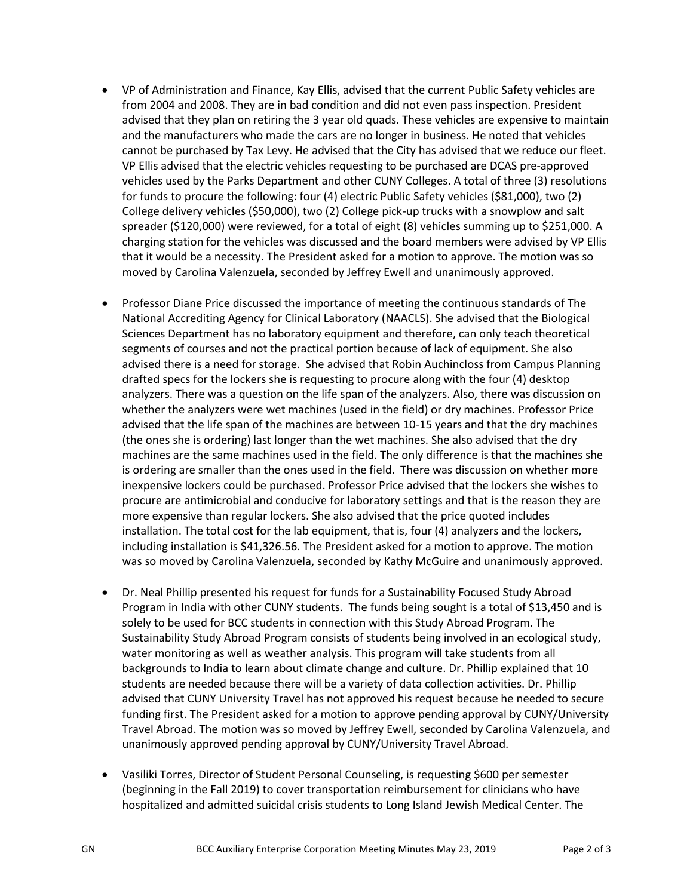- VP of Administration and Finance, Kay Ellis, advised that the current Public Safety vehicles are from 2004 and 2008. They are in bad condition and did not even pass inspection. President advised that they plan on retiring the 3 year old quads. These vehicles are expensive to maintain and the manufacturers who made the cars are no longer in business. He noted that vehicles cannot be purchased by Tax Levy. He advised that the City has advised that we reduce our fleet. VP Ellis advised that the electric vehicles requesting to be purchased are DCAS pre-approved vehicles used by the Parks Department and other CUNY Colleges. A total of three (3) resolutions for funds to procure the following: four (4) electric Public Safety vehicles (\$81,000), two (2) College delivery vehicles (\$50,000), two (2) College pick-up trucks with a snowplow and salt spreader (\$120,000) were reviewed, for a total of eight (8) vehicles summing up to \$251,000. A charging station for the vehicles was discussed and the board members were advised by VP Ellis that it would be a necessity. The President asked for a motion to approve. The motion was so moved by Carolina Valenzuela, seconded by Jeffrey Ewell and unanimously approved.
- Professor Diane Price discussed the importance of meeting the continuous standards of The National Accrediting Agency for Clinical Laboratory (NAACLS). She advised that the Biological Sciences Department has no laboratory equipment and therefore, can only teach theoretical segments of courses and not the practical portion because of lack of equipment. She also advised there is a need for storage. She advised that Robin Auchincloss from Campus Planning drafted specs for the lockers she is requesting to procure along with the four (4) desktop analyzers. There was a question on the life span of the analyzers. Also, there was discussion on whether the analyzers were wet machines (used in the field) or dry machines. Professor Price advised that the life span of the machines are between 10-15 years and that the dry machines (the ones she is ordering) last longer than the wet machines. She also advised that the dry machines are the same machines used in the field. The only difference is that the machines she is ordering are smaller than the ones used in the field. There was discussion on whether more inexpensive lockers could be purchased. Professor Price advised that the lockers she wishes to procure are antimicrobial and conducive for laboratory settings and that is the reason they are more expensive than regular lockers. She also advised that the price quoted includes installation. The total cost for the lab equipment, that is, four (4) analyzers and the lockers, including installation is \$41,326.56. The President asked for a motion to approve. The motion was so moved by Carolina Valenzuela, seconded by Kathy McGuire and unanimously approved.
- Dr. Neal Phillip presented his request for funds for a Sustainability Focused Study Abroad Program in India with other CUNY students. The funds being sought is a total of \$13,450 and is solely to be used for BCC students in connection with this Study Abroad Program. The Sustainability Study Abroad Program consists of students being involved in an ecological study, water monitoring as well as weather analysis. This program will take students from all backgrounds to India to learn about climate change and culture. Dr. Phillip explained that 10 students are needed because there will be a variety of data collection activities. Dr. Phillip advised that CUNY University Travel has not approved his request because he needed to secure funding first. The President asked for a motion to approve pending approval by CUNY/University Travel Abroad. The motion was so moved by Jeffrey Ewell, seconded by Carolina Valenzuela, and unanimously approved pending approval by CUNY/University Travel Abroad.
- Vasiliki Torres, Director of Student Personal Counseling, is requesting \$600 per semester (beginning in the Fall 2019) to cover transportation reimbursement for clinicians who have hospitalized and admitted suicidal crisis students to Long Island Jewish Medical Center. The